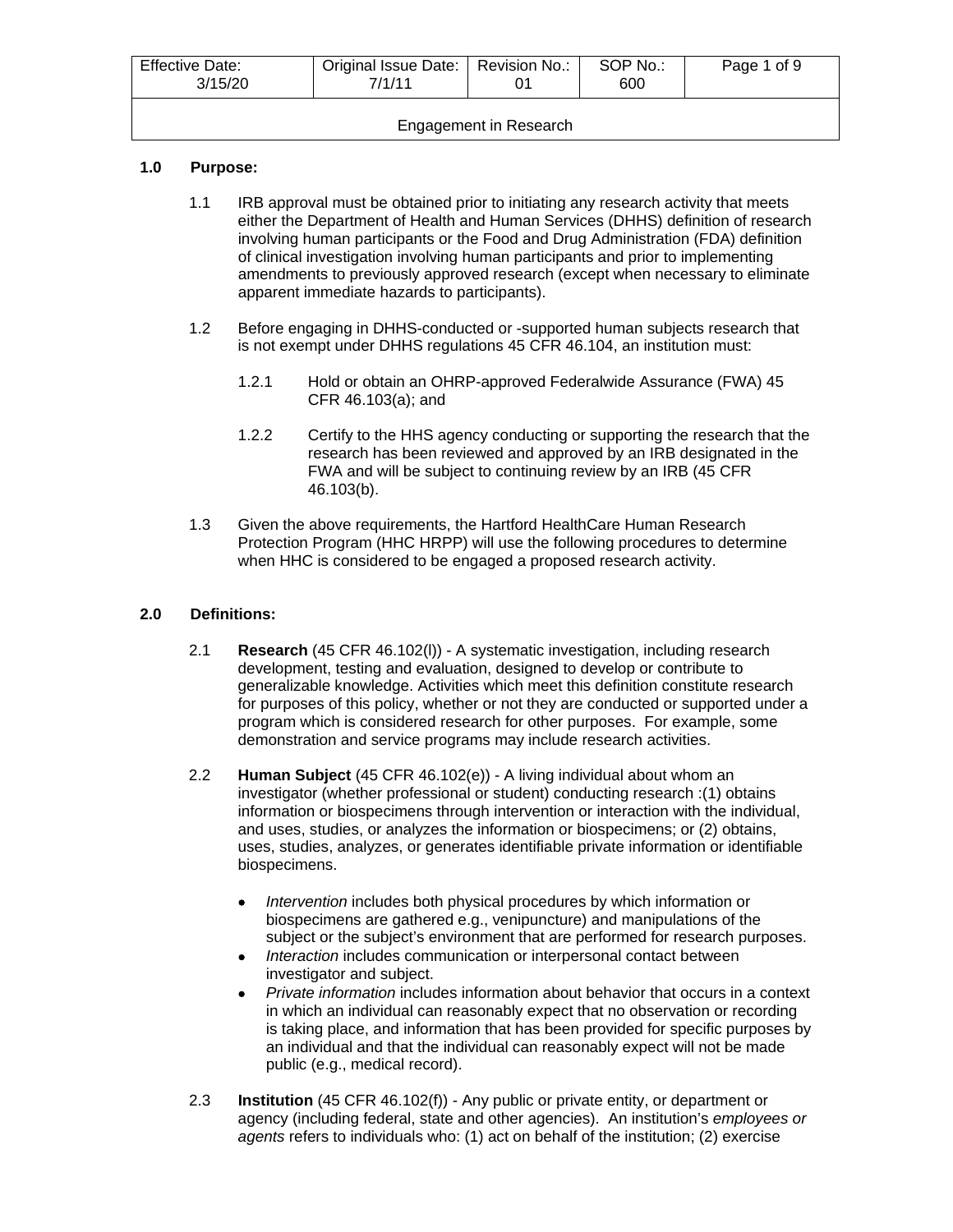| <b>Effective Date:</b><br>3/15/20 | Original Issue Date:   Revision No.:<br>7/1/11 |  | SOP No.:<br>600 | Page 1 of 9 |
|-----------------------------------|------------------------------------------------|--|-----------------|-------------|
| Engagement in Research            |                                                |  |                 |             |

## **1.0 Purpose:**

- 1.1 IRB approval must be obtained prior to initiating any research activity that meets either the Department of Health and Human Services (DHHS) definition of research involving human participants or the Food and Drug Administration (FDA) definition of clinical investigation involving human participants and prior to implementing amendments to previously approved research (except when necessary to eliminate apparent immediate hazards to participants).
- 1.2 Before engaging in DHHS-conducted or -supported human subjects research that is not exempt under DHHS regulations 45 CFR 46.104, an institution must:
	- 1.2.1 Hold or obtain an OHRP-approved Federalwide Assurance (FWA) 45 CFR 46.103(a); and
	- 1.2.2 Certify to the HHS agency conducting or supporting the research that the research has been reviewed and approved by an IRB designated in the FWA and will be subject to continuing review by an IRB (45 CFR 46.103(b).
- 1.3 Given the above requirements, the Hartford HealthCare Human Research Protection Program (HHC HRPP) will use the following procedures to determine when HHC is considered to be engaged a proposed research activity.

## **2.0 Definitions:**

- 2.1 **Research** (45 CFR 46.102(l)) A systematic investigation, including research development, testing and evaluation, designed to develop or contribute to generalizable knowledge. Activities which meet this definition constitute research for purposes of this policy, whether or not they are conducted or supported under a program which is considered research for other purposes. For example, some demonstration and service programs may include research activities.
- 2.2 **Human Subject** (45 CFR 46.102(e)) A living individual about whom an investigator (whether professional or student) conducting research :(1) obtains information or biospecimens through intervention or interaction with the individual, and uses, studies, or analyzes the information or biospecimens; or (2) obtains, uses, studies, analyzes, or generates identifiable private information or identifiable biospecimens.
	- *Intervention* includes both physical procedures by which information or biospecimens are gathered e.g., venipuncture) and manipulations of the subject or the subject's environment that are performed for research purposes.
	- *Interaction* includes communication or interpersonal contact between investigator and subject.
	- *Private information* includes information about behavior that occurs in a context in which an individual can reasonably expect that no observation or recording is taking place, and information that has been provided for specific purposes by an individual and that the individual can reasonably expect will not be made public (e.g., medical record).
- 2.3 **Institution** (45 CFR 46.102(f)) Any public or private entity, or department or agency (including federal, state and other agencies). An institution's *employees or agents* refers to individuals who: (1) act on behalf of the institution; (2) exercise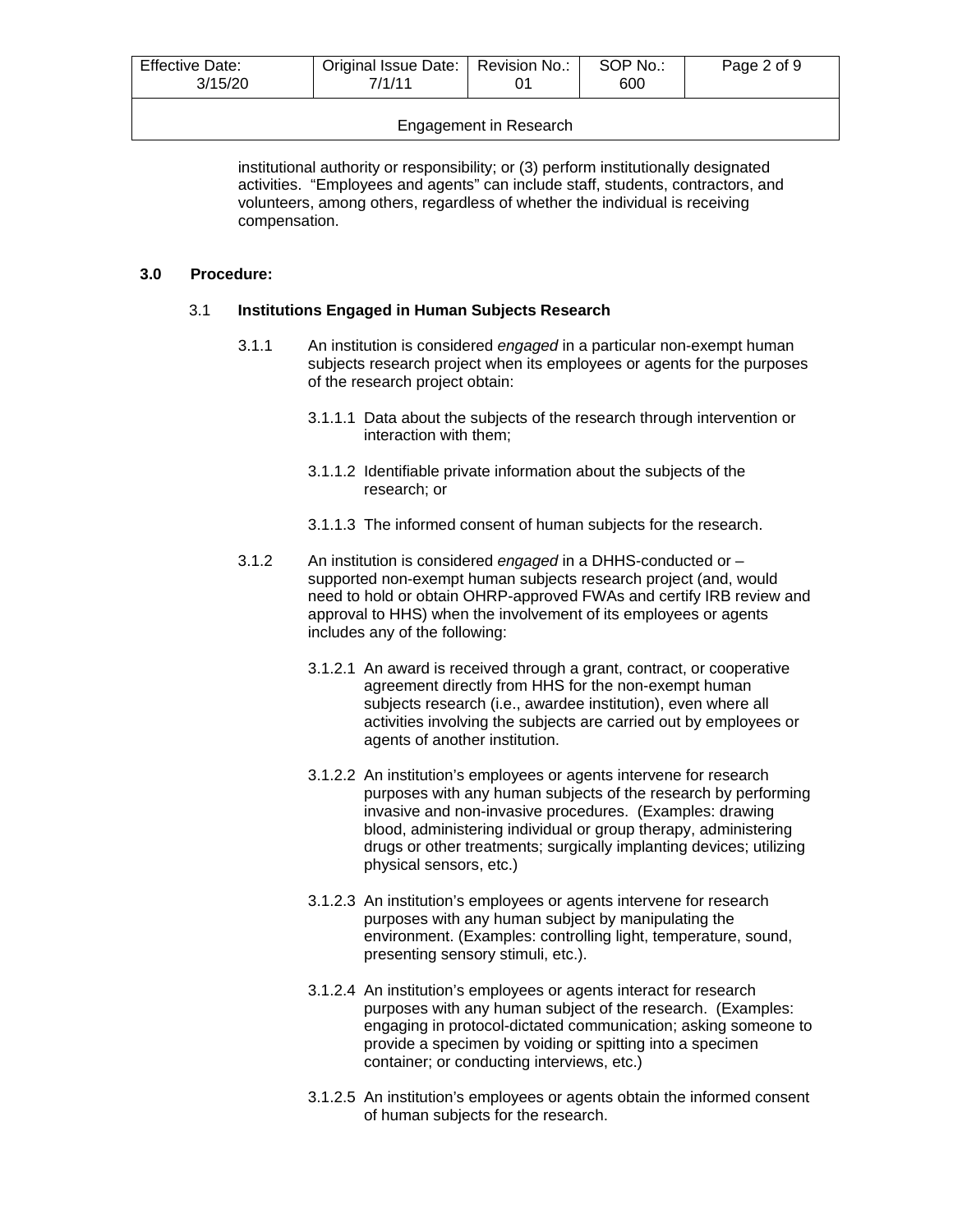| <b>Effective Date:</b><br>3/15/20 | Original Issue Date:<br>7/1/11 | Revision No.: | SOP No.:<br>600 | Page 2 of 9 |
|-----------------------------------|--------------------------------|---------------|-----------------|-------------|
|                                   |                                |               |                 |             |

Engagement in Research

institutional authority or responsibility; or (3) perform institutionally designated activities. "Employees and agents" can include staff, students, contractors, and volunteers, among others, regardless of whether the individual is receiving compensation.

# **3.0 Procedure:**

## 3.1 **Institutions Engaged in Human Subjects Research**

- 3.1.1 An institution is considered *engaged* in a particular non-exempt human subjects research project when its employees or agents for the purposes of the research project obtain:
	- 3.1.1.1 Data about the subjects of the research through intervention or interaction with them;
	- 3.1.1.2 Identifiable private information about the subjects of the research; or
	- 3.1.1.3 The informed consent of human subjects for the research.
- 3.1.2 An institution is considered *engaged* in a DHHS-conducted or supported non-exempt human subjects research project (and, would need to hold or obtain OHRP-approved FWAs and certify IRB review and approval to HHS) when the involvement of its employees or agents includes any of the following:
	- 3.1.2.1 An award is received through a grant, contract, or cooperative agreement directly from HHS for the non-exempt human subjects research (i.e., awardee institution), even where all activities involving the subjects are carried out by employees or agents of another institution.
	- 3.1.2.2 An institution's employees or agents intervene for research purposes with any human subjects of the research by performing invasive and non-invasive procedures. (Examples: drawing blood, administering individual or group therapy, administering drugs or other treatments; surgically implanting devices; utilizing physical sensors, etc.)
	- 3.1.2.3 An institution's employees or agents intervene for research purposes with any human subject by manipulating the environment. (Examples: controlling light, temperature, sound, presenting sensory stimuli, etc.).
	- 3.1.2.4 An institution's employees or agents interact for research purposes with any human subject of the research. (Examples: engaging in protocol-dictated communication; asking someone to provide a specimen by voiding or spitting into a specimen container; or conducting interviews, etc.)
	- 3.1.2.5 An institution's employees or agents obtain the informed consent of human subjects for the research.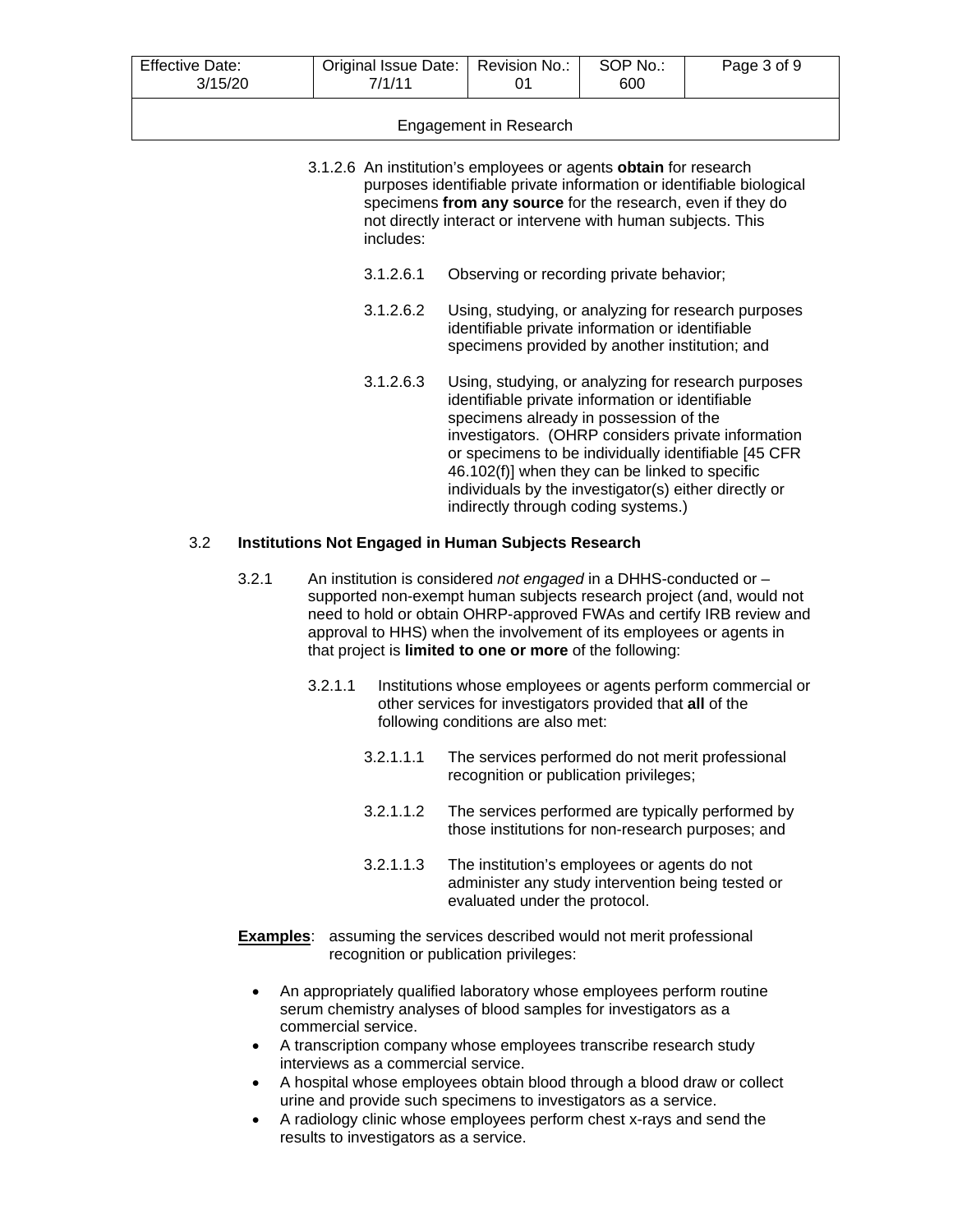| <b>Effective Date:</b><br>3/15/20 | Original Issue Date:   Revision No.:<br>7/1/11 |  | SOP No.:<br>600 | Page 3 of 9 |
|-----------------------------------|------------------------------------------------|--|-----------------|-------------|
| Engagement in Research            |                                                |  |                 |             |

#### 3.1.2.6 An institution's employees or agents **obtain** for research purposes identifiable private information or identifiable biological specimens **from any source** for the research, even if they do not directly interact or intervene with human subjects. This includes:

- 3.1.2.6.1 Observing or recording private behavior;
- 3.1.2.6.2 Using, studying, or analyzing for research purposes identifiable private information or identifiable specimens provided by another institution; and
- 3.1.2.6.3 Using, studying, or analyzing for research purposes identifiable private information or identifiable specimens already in possession of the investigators. (OHRP considers private information or specimens to be individually identifiable [45 CFR 46.102(f)] when they can be linked to specific individuals by the investigator(s) either directly or indirectly through coding systems.)

## 3.2 **Institutions Not Engaged in Human Subjects Research**

- 3.2.1 An institution is considered *not engaged* in a DHHS-conducted or supported non-exempt human subjects research project (and, would not need to hold or obtain OHRP-approved FWAs and certify IRB review and approval to HHS) when the involvement of its employees or agents in that project is **limited to one or more** of the following:
	- 3.2.1.1 Institutions whose employees or agents perform commercial or other services for investigators provided that **all** of the following conditions are also met:
		- 3.2.1.1.1 The services performed do not merit professional recognition or publication privileges;
		- 3.2.1.1.2 The services performed are typically performed by those institutions for non-research purposes; and
		- 3.2.1.1.3 The institution's employees or agents do not administer any study intervention being tested or evaluated under the protocol.
- **Examples:** assuming the services described would not merit professional recognition or publication privileges:
	- An appropriately qualified laboratory whose employees perform routine serum chemistry analyses of blood samples for investigators as a commercial service.
	- A transcription company whose employees transcribe research study interviews as a commercial service.
	- A hospital whose employees obtain blood through a blood draw or collect urine and provide such specimens to investigators as a service.
	- A radiology clinic whose employees perform chest x-rays and send the results to investigators as a service.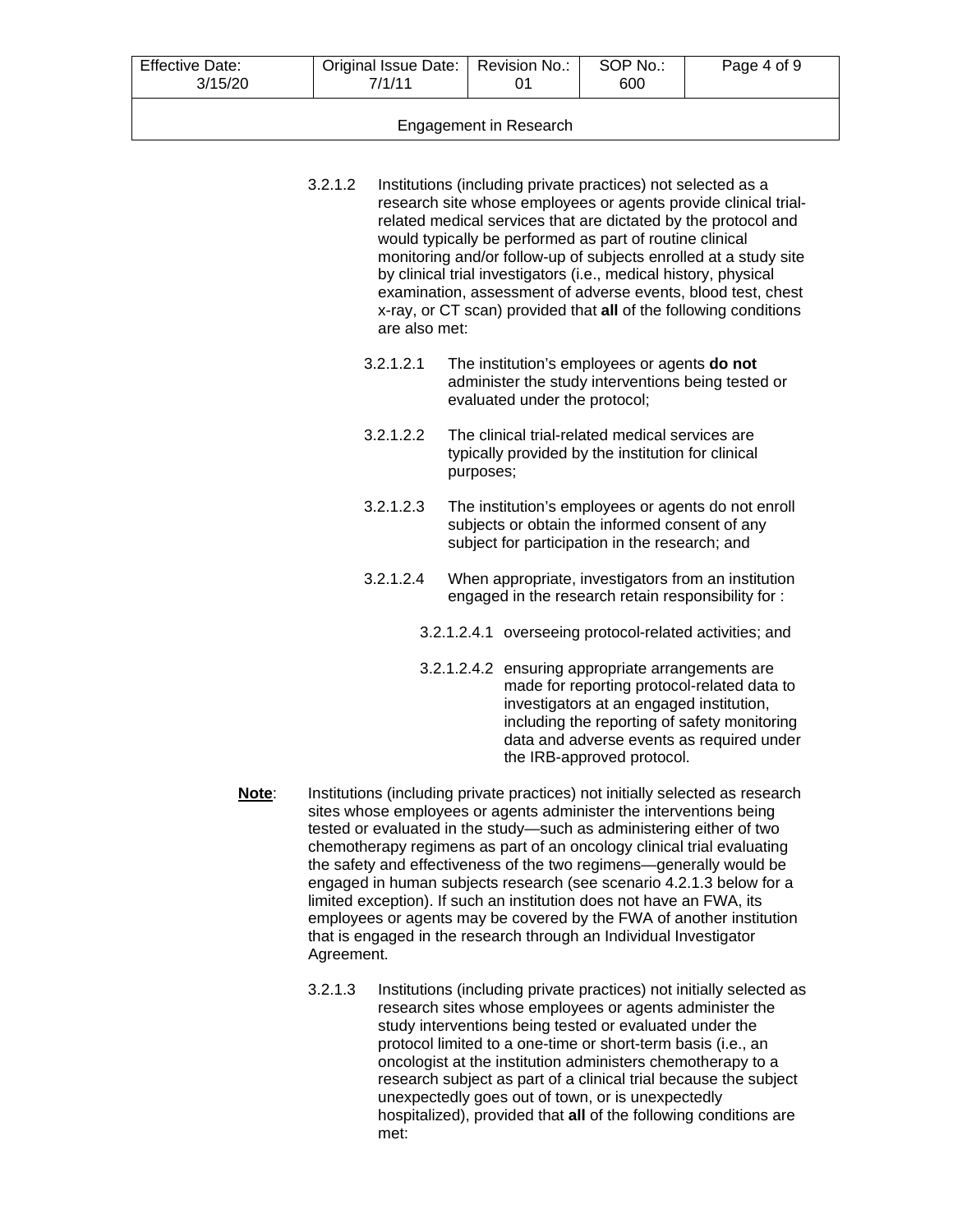| <b>Effective Date:</b><br>3/15/20 | Original Issue Date:   Revision No.:<br>7/1/11 |  | SOP No.:<br>600 | Page 4 of 9 |  |
|-----------------------------------|------------------------------------------------|--|-----------------|-------------|--|
| Engagement in Research            |                                                |  |                 |             |  |

- 3.2.1.2 Institutions (including private practices) not selected as a research site whose employees or agents provide clinical trialrelated medical services that are dictated by the protocol and would typically be performed as part of routine clinical monitoring and/or follow-up of subjects enrolled at a study site by clinical trial investigators (i.e., medical history, physical examination, assessment of adverse events, blood test, chest x-ray, or CT scan) provided that **all** of the following conditions are also met:
	- 3.2.1.2.1 The institution's employees or agents **do not** administer the study interventions being tested or evaluated under the protocol;
	- 3.2.1.2.2 The clinical trial-related medical services are typically provided by the institution for clinical purposes;
	- 3.2.1.2.3 The institution's employees or agents do not enroll subjects or obtain the informed consent of any subject for participation in the research; and
	- 3.2.1.2.4 When appropriate, investigators from an institution engaged in the research retain responsibility for :
		- 3.2.1.2.4.1 overseeing protocol-related activities; and
		- 3.2.1.2.4.2 ensuring appropriate arrangements are made for reporting protocol-related data to investigators at an engaged institution, including the reporting of safety monitoring data and adverse events as required under the IRB-approved protocol.
- **Note**: Institutions (including private practices) not initially selected as research sites whose employees or agents administer the interventions being tested or evaluated in the study—such as administering either of two chemotherapy regimens as part of an oncology clinical trial evaluating the safety and effectiveness of the two regimens—generally would be engaged in human subjects research (see scenario 4.2.1.3 below for a limited exception). If such an institution does not have an FWA, its employees or agents may be covered by the FWA of another institution that is engaged in the research through an Individual Investigator Agreement.
	- 3.2.1.3 Institutions (including private practices) not initially selected as research sites whose employees or agents administer the study interventions being tested or evaluated under the protocol limited to a one-time or short-term basis (i.e., an oncologist at the institution administers chemotherapy to a research subject as part of a clinical trial because the subject unexpectedly goes out of town, or is unexpectedly hospitalized), provided that **all** of the following conditions are met: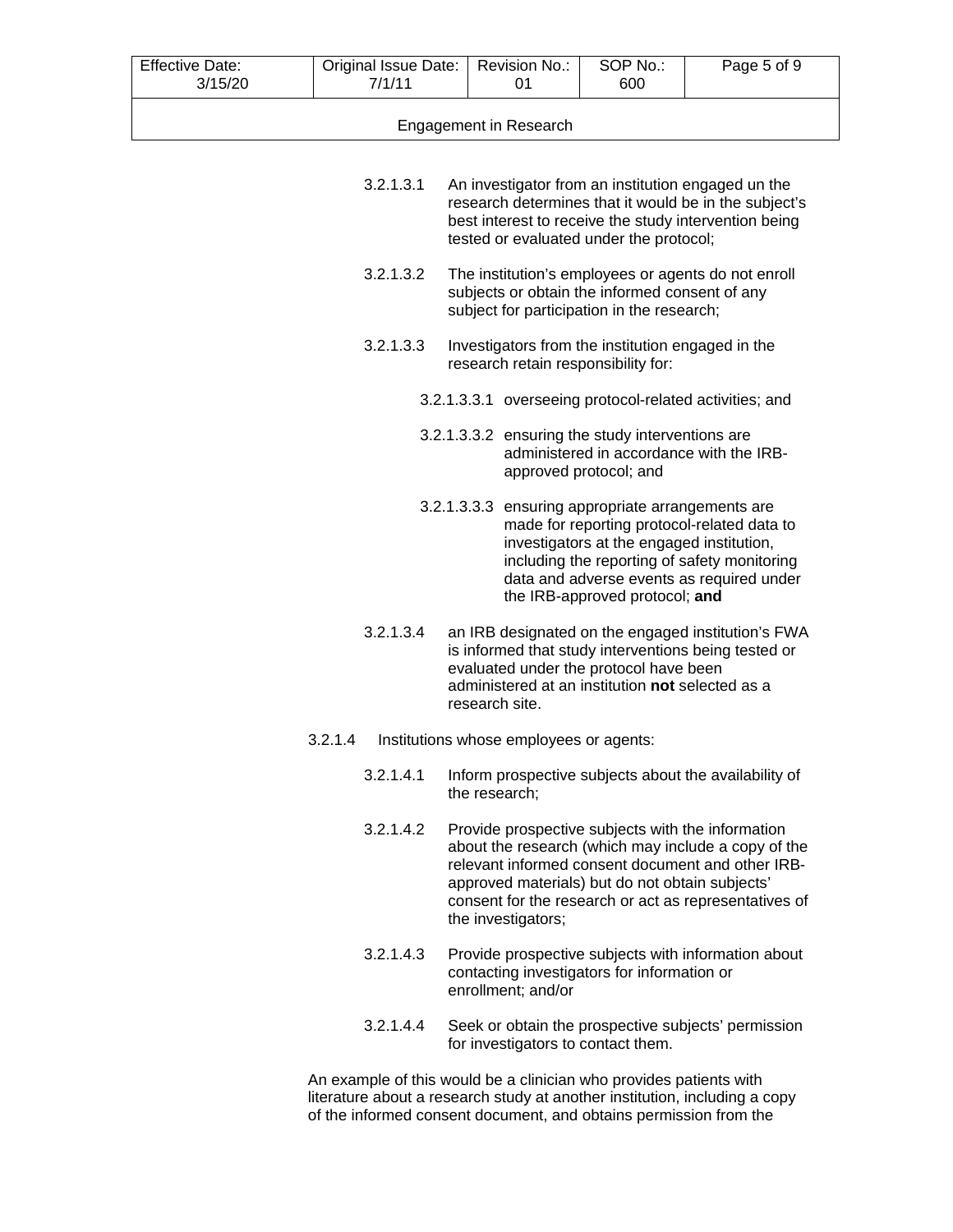| <b>Effective Date:</b> | Original Issue Date: | Revision No.:                                                                                               | SOP No.: | Page 5 of 9 |
|------------------------|----------------------|-------------------------------------------------------------------------------------------------------------|----------|-------------|
| 3/15/20                | 7/1/11               | 01                                                                                                          | 600      |             |
|                        |                      |                                                                                                             |          |             |
|                        |                      | Engagement in Research                                                                                      |          |             |
|                        |                      |                                                                                                             |          |             |
|                        |                      |                                                                                                             |          |             |
|                        | 3.2.1.3.1            | An investigator from an institution engaged un the<br>research determines that it would be in the subject's |          |             |
|                        |                      | best interest to receive the study intervention being                                                       |          |             |

3.2.1.3.2 The institution's employees or agents do not enroll subjects or obtain the informed consent of any subject for participation in the research;

tested or evaluated under the protocol;

- 3.2.1.3.3 Investigators from the institution engaged in the research retain responsibility for:
	- 3.2.1.3.3.1 overseeing protocol-related activities; and
	- 3.2.1.3.3.2 ensuring the study interventions are administered in accordance with the IRBapproved protocol; and
	- 3.2.1.3.3.3 ensuring appropriate arrangements are made for reporting protocol-related data to investigators at the engaged institution, including the reporting of safety monitoring data and adverse events as required under the IRB-approved protocol; **and**
- 3.2.1.3.4 an IRB designated on the engaged institution's FWA is informed that study interventions being tested or evaluated under the protocol have been administered at an institution **not** selected as a research site.
- 3.2.1.4 Institutions whose employees or agents:
	- 3.2.1.4.1 Inform prospective subjects about the availability of the research;
	- 3.2.1.4.2 Provide prospective subjects with the information about the research (which may include a copy of the relevant informed consent document and other IRBapproved materials) but do not obtain subjects' consent for the research or act as representatives of the investigators;
	- 3.2.1.4.3 Provide prospective subjects with information about contacting investigators for information or enrollment; and/or
	- 3.2.1.4.4 Seek or obtain the prospective subjects' permission for investigators to contact them.

An example of this would be a clinician who provides patients with literature about a research study at another institution, including a copy of the informed consent document, and obtains permission from the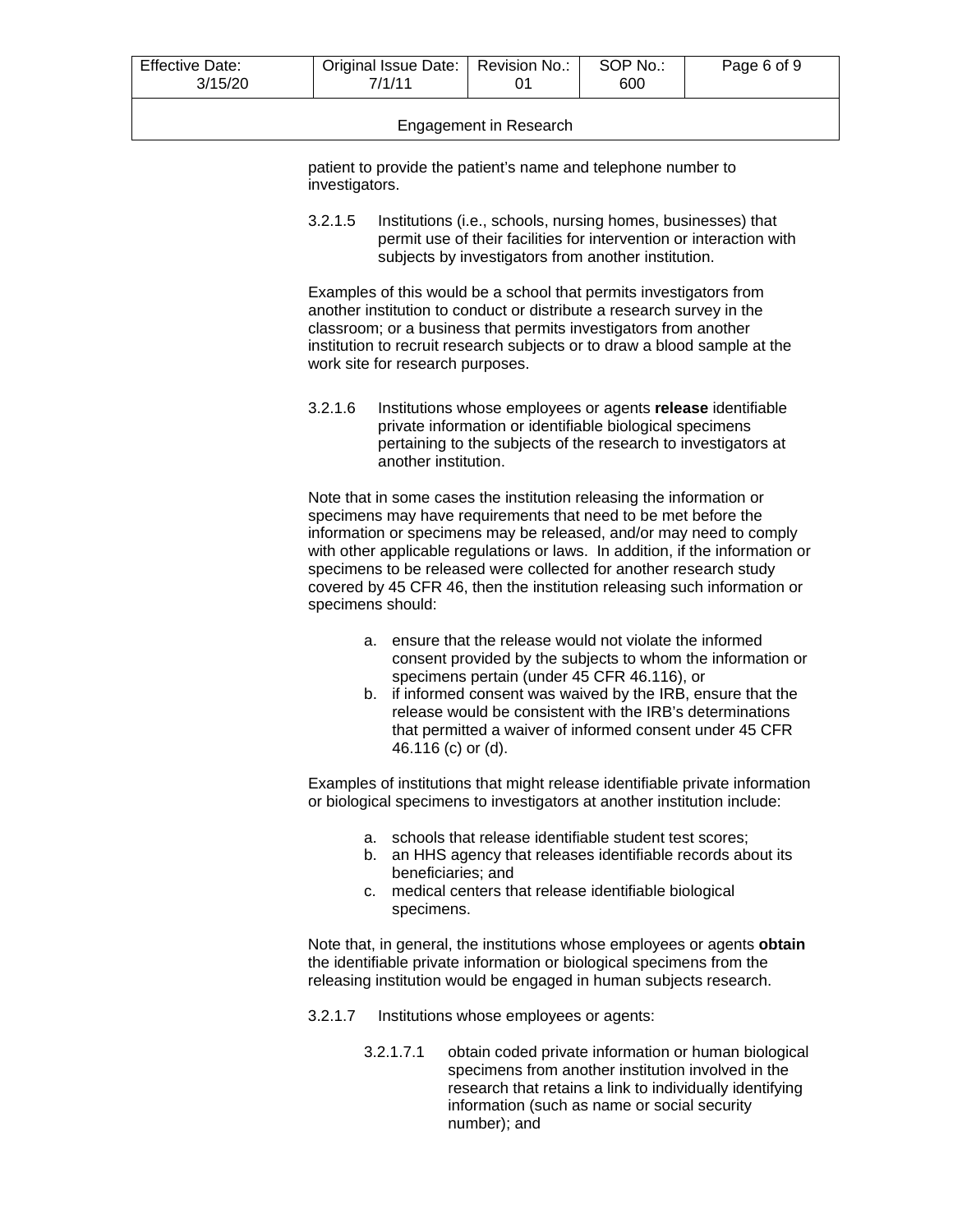| <b>Effective Date:</b><br>3/15/20 | Original Issue Date:   Revision No.:<br>7/1/11 |  | SOP No.:<br>600 | Page 6 of 9 |  |
|-----------------------------------|------------------------------------------------|--|-----------------|-------------|--|
| Engagement in Research            |                                                |  |                 |             |  |

patient to provide the patient's name and telephone number to investigators.

3.2.1.5 Institutions (i.e., schools, nursing homes, businesses) that permit use of their facilities for intervention or interaction with subjects by investigators from another institution.

Examples of this would be a school that permits investigators from another institution to conduct or distribute a research survey in the classroom; or a business that permits investigators from another institution to recruit research subjects or to draw a blood sample at the work site for research purposes.

3.2.1.6 Institutions whose employees or agents **release** identifiable private information or identifiable biological specimens pertaining to the subjects of the research to investigators at another institution.

Note that in some cases the institution releasing the information or specimens may have requirements that need to be met before the information or specimens may be released, and/or may need to comply with other applicable regulations or laws. In addition, if the information or specimens to be released were collected for another research study covered by 45 CFR 46, then the institution releasing such information or specimens should:

- a. ensure that the release would not violate the informed consent provided by the subjects to whom the information or specimens pertain (under 45 CFR 46.116), or
- b. if informed consent was waived by the IRB, ensure that the release would be consistent with the IRB's determinations that permitted a waiver of informed consent under 45 CFR 46.116 (c) or (d).

Examples of institutions that might release identifiable private information or biological specimens to investigators at another institution include:

- a. schools that release identifiable student test scores;
- b. an HHS agency that releases identifiable records about its beneficiaries; and
- c. medical centers that release identifiable biological specimens.

Note that, in general, the institutions whose employees or agents **obtain** the identifiable private information or biological specimens from the releasing institution would be engaged in human subjects research.

- 3.2.1.7 Institutions whose employees or agents:
	- 3.2.1.7.1 obtain coded private information or human biological specimens from another institution involved in the research that retains a link to individually identifying information (such as name or social security number); and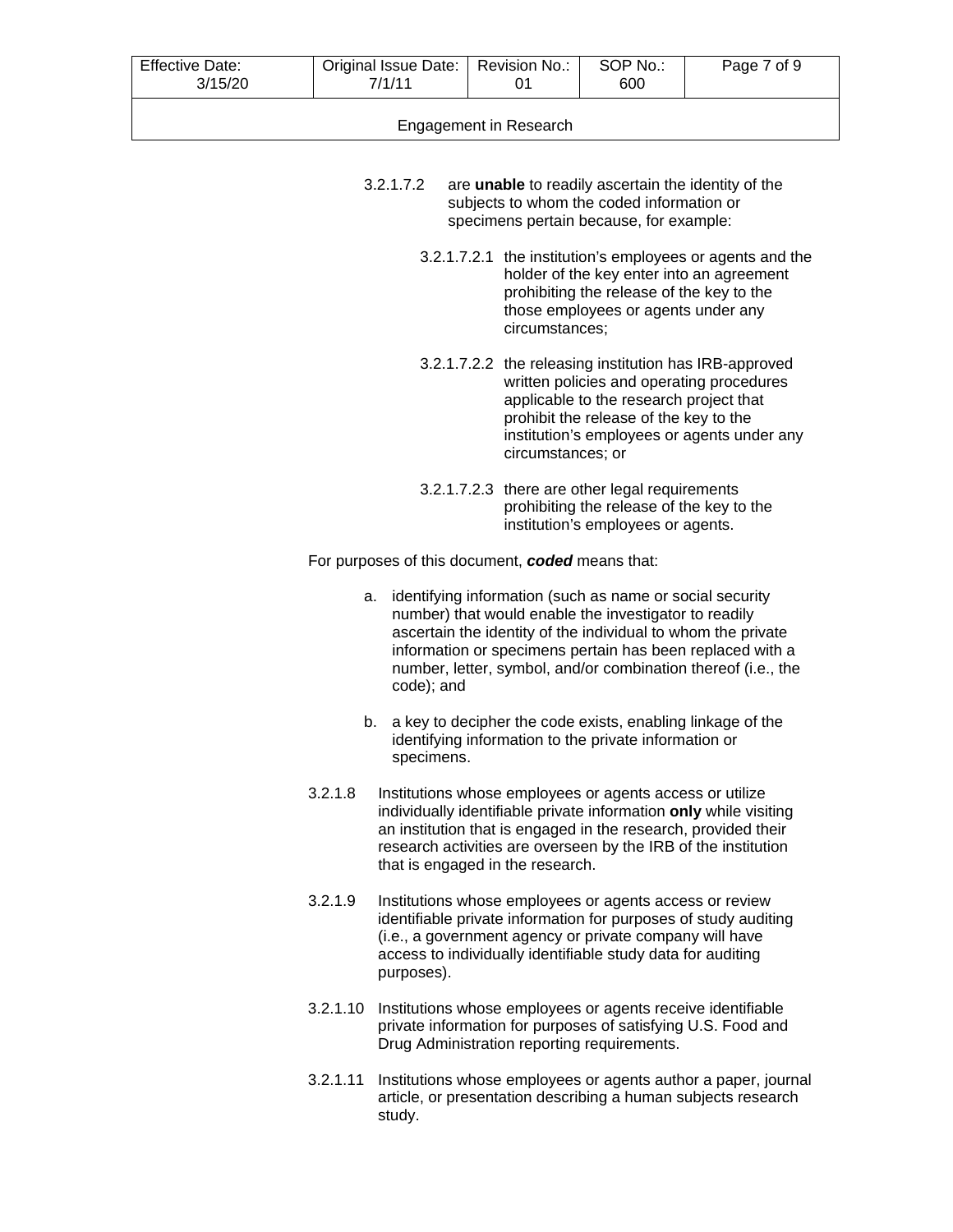| <b>Effective Date:</b><br>3/15/20 | Original Issue Date:   Revision No.:<br>7/1/11 |  | SOP No.:<br>600 | Page 7 of 9 |
|-----------------------------------|------------------------------------------------|--|-----------------|-------------|
| Engagement in Research            |                                                |  |                 |             |

- 3.2.1.7.2 are **unable** to readily ascertain the identity of the subjects to whom the coded information or specimens pertain because, for example:
	- 3.2.1.7.2.1 the institution's employees or agents and the holder of the key enter into an agreement prohibiting the release of the key to the those employees or agents under any circumstances;
	- 3.2.1.7.2.2 the releasing institution has IRB-approved written policies and operating procedures applicable to the research project that prohibit the release of the key to the institution's employees or agents under any circumstances; or
	- 3.2.1.7.2.3 there are other legal requirements prohibiting the release of the key to the institution's employees or agents.

For purposes of this document, *coded* means that:

- a. identifying information (such as name or social security number) that would enable the investigator to readily ascertain the identity of the individual to whom the private information or specimens pertain has been replaced with a number, letter, symbol, and/or combination thereof (i.e., the code); and
- b. a key to decipher the code exists, enabling linkage of the identifying information to the private information or specimens.
- 3.2.1.8 Institutions whose employees or agents access or utilize individually identifiable private information **only** while visiting an institution that is engaged in the research, provided their research activities are overseen by the IRB of the institution that is engaged in the research.
- 3.2.1.9 Institutions whose employees or agents access or review identifiable private information for purposes of study auditing (i.e., a government agency or private company will have access to individually identifiable study data for auditing purposes).
- 3.2.1.10 Institutions whose employees or agents receive identifiable private information for purposes of satisfying U.S. Food and Drug Administration reporting requirements.
- 3.2.1.11 Institutions whose employees or agents author a paper, journal article, or presentation describing a human subjects research study.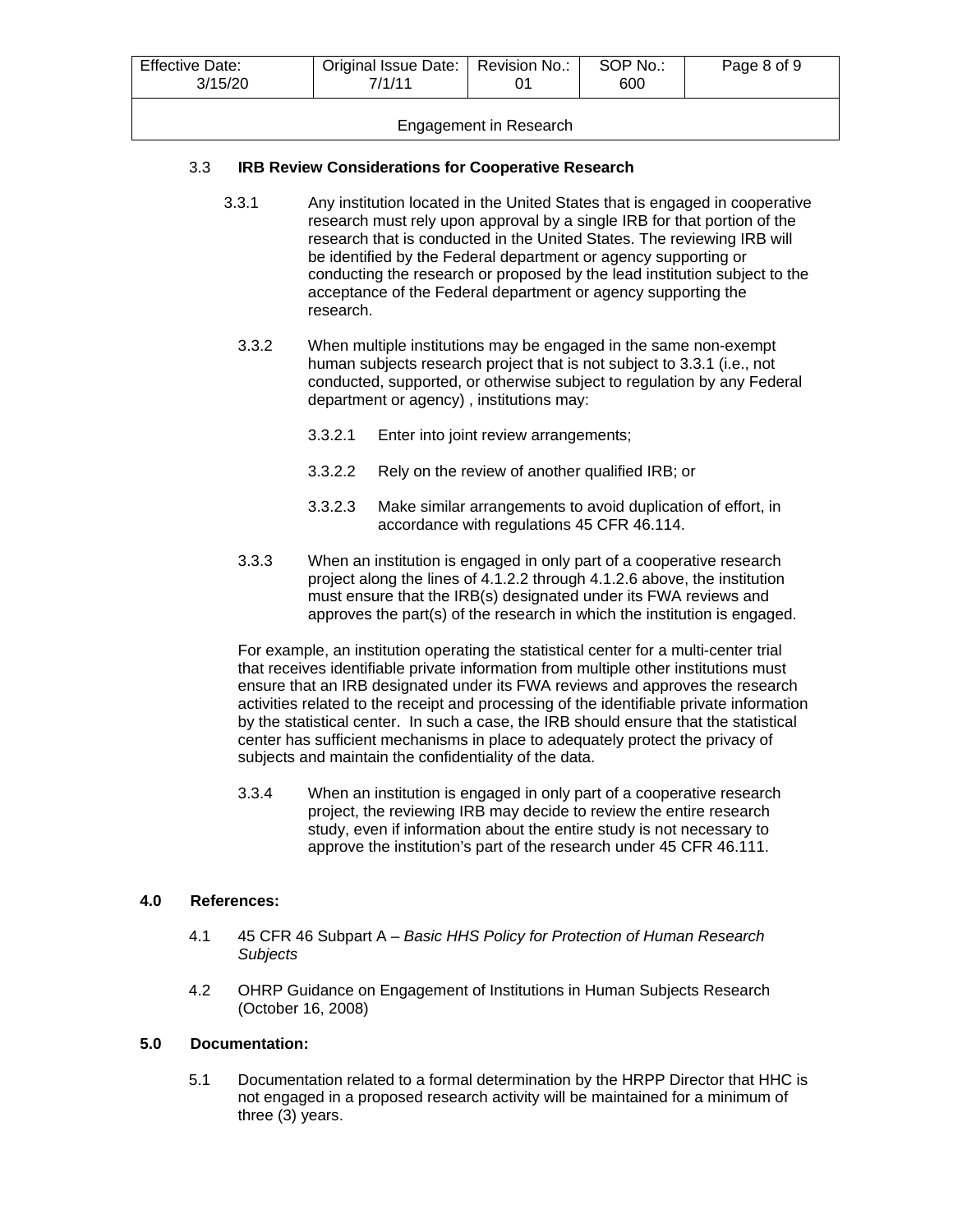| <b>Effective Date:</b><br>3/15/20 | Original Issue Date:   Revision No.:<br>7/1/11 |  | SOP No.:<br>600 | Page 8 of 9 |
|-----------------------------------|------------------------------------------------|--|-----------------|-------------|
| Engagement in Research            |                                                |  |                 |             |

# 3.3 **IRB Review Considerations for Cooperative Research**

- 3.3.1 Any institution located in the United States that is engaged in cooperative research must rely upon approval by a single IRB for that portion of the research that is conducted in the United States. The reviewing IRB will be identified by the Federal department or agency supporting or conducting the research or proposed by the lead institution subject to the acceptance of the Federal department or agency supporting the research.
	- 3.3.2 When multiple institutions may be engaged in the same non-exempt human subjects research project that is not subject to 3.3.1 (i.e., not conducted, supported, or otherwise subject to regulation by any Federal department or agency) , institutions may:
		- 3.3.2.1 Enter into joint review arrangements;
		- 3.3.2.2 Rely on the review of another qualified IRB; or
		- 3.3.2.3 Make similar arrangements to avoid duplication of effort, in accordance with regulations 45 CFR 46.114.
	- 3.3.3 When an institution is engaged in only part of a cooperative research project along the lines of 4.1.2.2 through 4.1.2.6 above, the institution must ensure that the IRB(s) designated under its FWA reviews and approves the part(s) of the research in which the institution is engaged.

For example, an institution operating the statistical center for a multi-center trial that receives identifiable private information from multiple other institutions must ensure that an IRB designated under its FWA reviews and approves the research activities related to the receipt and processing of the identifiable private information by the statistical center. In such a case, the IRB should ensure that the statistical center has sufficient mechanisms in place to adequately protect the privacy of subjects and maintain the confidentiality of the data.

3.3.4 When an institution is engaged in only part of a cooperative research project, the reviewing IRB may decide to review the entire research study, even if information about the entire study is not necessary to approve the institution's part of the research under 45 CFR 46.111.

#### **4.0 References:**

- 4.1 45 CFR 46 Subpart A *Basic HHS Policy for Protection of Human Research Subjects*
- 4.2 OHRP Guidance on Engagement of Institutions in Human Subjects Research (October 16, 2008)

# **5.0 Documentation:**

5.1 Documentation related to a formal determination by the HRPP Director that HHC is not engaged in a proposed research activity will be maintained for a minimum of three (3) years.